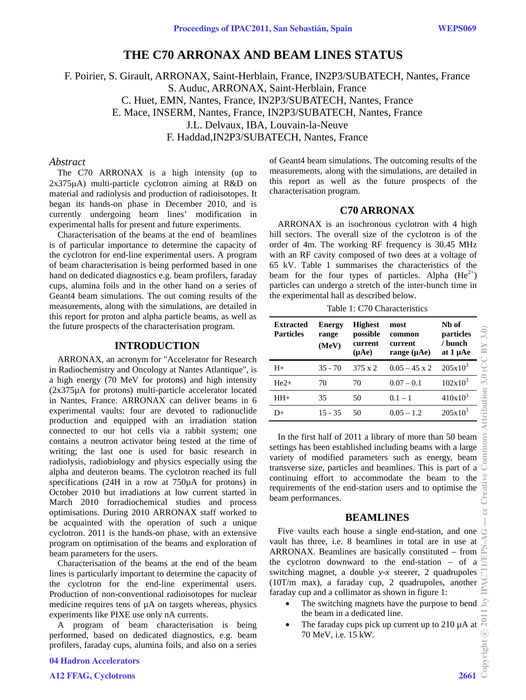# **THE C70 ARRONAX AND BEAM LINES STATUS**

F. Poirier, S. Girault, ARRONAX, Saint-Herblain, France, IN2P3/SUBATECH, Nantes, France S. Auduc, ARRONAX, Saint-Herblain, France C. Huet, EMN, Nantes, France, IN2P3/SUBATECH, Nantes, France E. Mace, INSERM, Nantes, France, IN2P3/SUBATECH, Nantes, France J.L. Delvaux, IBA, Louvain-la-Neuve F. Haddad,IN2P3/SUBATECH, Nantes, France

# *Abstract*

The C70 ARRONAX is a high intensity (up to  $2x375\mu$ A) multi-particle cyclotron aiming at R&D on material and radiolysis and production of radioisotopes. It began its hands-on phase in December 2010, and is currently undergoing beam lines' modification in experimental halls for present and future experiments.

Characterisation of the beams at the end of beamlines is of particular importance to determine the capacity of the cyclotron for end-line experimental users. A program of beam characterisation is being performed based in one hand on dedicated diagnostics e.g. beam profilers, faraday cups, alumina foils and in the other hand on a series of Geant4 beam simulations. The out coming results of the measurements, along with the simulations, are detailed in this report for proton and alpha particle beams, as well as the future prospects of the characterisation program.

#### **INTRODUCTION**

ARRONAX, an acronym for "Accelerator for Research in Radiochemistry and Oncology at Nantes Atlantique", is a high energy (70 MeV for protons) and high intensity (2x375µA for protons) multi-particle accelerator located in Nantes, France. ARRONAX can deliver beams in 6 experimental vaults: four are devoted to radionuclide production and equipped with an irradiation station connected to our hot cells via a rabbit system; one contains a neutron activator being tested at the time of writing; the last one is used for basic research in radiolysis, radiobiology and physics especially using the alpha and deuteron beams. The cyclotron reached its full specifications (24H in a row at 750µA for protons) in October 2010 but irradiations at low current started in March 2010 forradiochemical studies and process optimisations. During 2010 ARRONAX staff worked to be acquainted with the operation of such a unique cyclotron. 2011 is the hands-on phase, with an extensive program on optimisation of the beams and exploration of beam parameters for the users.

Characterisation of the beams at the end of the beam lines is particularly important to determine the capacity of the cyclotron for the end-line experimental users. Production of non-conventional radioisotopes for nuclear medicine requires tens of µA on targets whereas, physics experiments like PIXE use only nA currents.

A program of beam characterisation is being performed, based on dedicated diagnostics, e.g. beam profilers, faraday cups, alumina foils, and also on a series

of Geant4 beam simulations. The outcoming results of the measurements, along with the simulations, are detailed in this report as well as the future prospects of the characterisation program.

# **C70 ARRONAX**

ARRONAX is an isochronous cyclotron with 4 high hill sectors. The overall size of the cyclotron is of the order of 4m. The working RF frequency is 30.45 MHz with an RF cavity composed of two dees at a voltage of 65 kV. Table 1 summarises the characteristics of the beam for the four types of particles. Alpha  $(He^{2+})$ particles can undergo a stretch of the inter-bunch time in the experimental hall as described below.

Table 1: C70 Characteristics

| <b>Extracted</b><br><b>Particles</b> | <b>Energy</b><br>range<br>(MeV) | <b>Highest</b><br>possible<br>current<br>(nAe) | most<br>common<br>current<br>range $(\mu Ae)$ | Nb of<br>particles<br>/ bunch<br>at 1 µAe |
|--------------------------------------|---------------------------------|------------------------------------------------|-----------------------------------------------|-------------------------------------------|
| $H+$                                 | $35 - 70$                       | $375 \times 2$                                 | $0.05 - 45 \times 2$                          | $205x10^3$                                |
| $He2+$                               | 70                              | 70                                             | $0.07 - 0.1$                                  | $102x10^3$                                |
| $HH+$                                | 35                              | 50                                             | $0.1 - 1$                                     | $410x10^3$                                |
| D+                                   | $15 - 35$                       | 50                                             | $0.05 - 1.2$                                  | $205x10^3$                                |

In the first half of 2011 a library of more than 50 beam settings has been established including beams with a large variety of modified parameters such as energy, beam transverse size, particles and beamlines. This is part of a continuing effort to accommodate the beam to the requirements of the end-station users and to optimise the beam performances.

## **BEAMLINES**

Five vaults each house a single end-station, and one vault has three, i.e. 8 beamlines in total are in use at ARRONAX. Beamlines are basically constituted – from the cyclotron downward to the end-station – of a switching magnet, a double *y-x* steerer, 2 quadrupoles (10T/m max), a faraday cup, 2 quadrupoles, another faraday cup and a collimator as shown in figure 1:

- The switching magnets have the purpose to bend the beam in a dedicated line.
- The faraday cups pick up current up to 210  $\mu$ A at 70 MeV, i.e. 15 kW.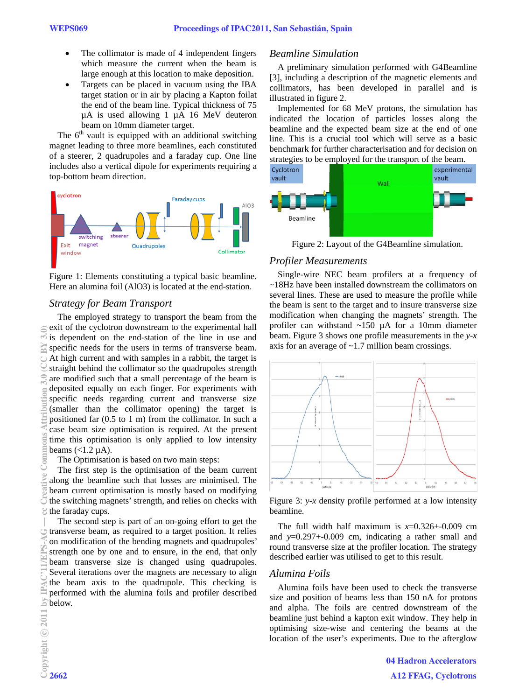- The collimator is made of 4 independent fingers which measure the current when the beam is large enough at this location to make deposition.
- Targets can be placed in vacuum using the IBA target station or in air by placing a Kapton foilat the end of the beam line. Typical thickness of 75 µA is used allowing 1 µA 16 MeV deuteron beam on 10mm diameter target.

The  $6<sup>th</sup>$  vault is equipped with an additional switching magnet leading to three more beamlines, each constituted of a steerer, 2 quadrupoles and a faraday cup. One line includes also a vertical dipole for experiments requiring a top-bottom beam direction.



Figure 1: Elements constituting a typical basic beamline. Here an alumina foil (AlO3) is located at the end-station.

## *Strategy for Beam Transport*

The employed strategy to transport the beam from the exit of the cyclotron downstream to the experimental hall is dependent on the end-station of the line in use and specific needs for the users in terms of transverse beam. At high current and with samples in a rabbit, the target is straight behind the collimator so the quadrupoles strength are modified such that a small percentage of the beam is deposited equally on each finger. For experiments with specific needs regarding current and transverse size (smaller than the collimator opening) the target is positioned far (0.5 to 1 m) from the collimator. In such a case beam size optimisation is required. At the present time this optimisation is only applied to low intensity beams  $\left($  < 1.2  $\mu$ A).

The Optimisation is based on two main steps:

The first step is the optimisation of the beam current along the beamline such that losses are minimised. The beam current optimisation is mostly based on modifying the switching magnets' strength, and relies on checks with the faraday cups.

The second step is part of an on-going effort to get the transverse beam, as required to a target position. It relies on modification of the bending magnets and quadrupoles' strength one by one and to ensure, in the end, that only beam transverse size is changed using quadrupoles. Several iterations over the magnets are necessary to align the beam axis to the quadrupole. This checking is performed with the alumina foils and profiler described  $\geq$  below.

## *Beamline Simulation*

A preliminary simulation performed with G4Beamline [3], including a description of the magnetic elements and collimators, has been developed in parallel and is illustrated in figure 2.

Implemented for 68 MeV protons, the simulation has indicated the location of particles losses along the beamline and the expected beam size at the end of one line. This is a crucial tool which will serve as a basic benchmark for further characterisation and for decision on strategies to be employed for the transport of the beam.



Figure 2: Layout of the G4Beamline simulation.

#### *Profiler Measurements*

Single-wire NEC beam profilers at a frequency of ~18Hz have been installed downstream the collimators on several lines. These are used to measure the profile while the beam is sent to the target and to insure transverse size modification when changing the magnets' strength. The profiler can withstand ~150 µA for a 10mm diameter beam. Figure 3 shows one profile measurements in the *y-x* axis for an average of ~1.7 million beam crossings.



Figure 3: *y-x* density profile performed at a low intensity beamline.

The full width half maximum is  $x=0.326+0.009$  cm and *y*=0.297+-0.009 cm, indicating a rather small and round transverse size at the profiler location. The strategy described earlier was utilised to get to this result.

# *Alumina Foils*

Alumina foils have been used to check the transverse size and position of beams less than 150 nA for protons and alpha. The foils are centred downstream of the beamline just behind a kapton exit window. They help in optimising size-wise and centering the beams at the location of the user's experiments. Due to the afterglow